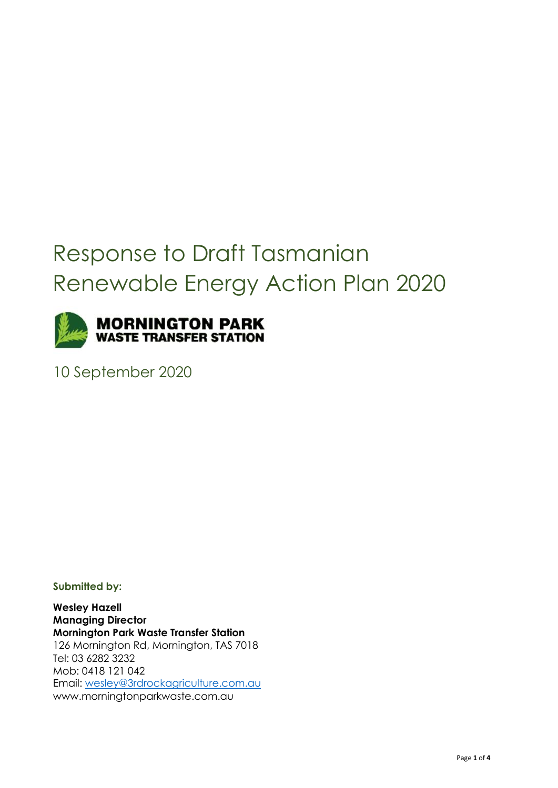# Response to Draft Tasmanian Renewable Energy Action Plan 2020



10 September 2020

**Submitted by:**

**Wesley Hazell Managing Director Mornington Park Waste Transfer Station** [126 Mornington Rd,](x-apple-data-detectors://0/) Mornington, TAS 7018 Tel: [03 6282 3232](tel:03%206245%201865) Mob: [0418 121 042](tel:0438%20660%20281) Email: [wesley@3rdrockagriculture.com.au](mailto:wesley@3rdrockagriculture.com.au) [www.morningtonparkwaste.com.au](https://aus01.safelinks.protection.outlook.com/?url=http%3A%2F%2Fwww.morningtonparkwaste.com.au%2F&data=02%7C01%7Caclark%40optimumstandard.com.au%7C3adf043104b847fb9dc908d746e6f2df%7C31349bf03932429f88ba1824485a3c76%7C0%7C0%7C637055830597437653&sdata=%2Be2adWO%2FmKFjAQWcB3wqZo%2BWP52G2jS59ZTTG1rIRb0%3D&reserved=0)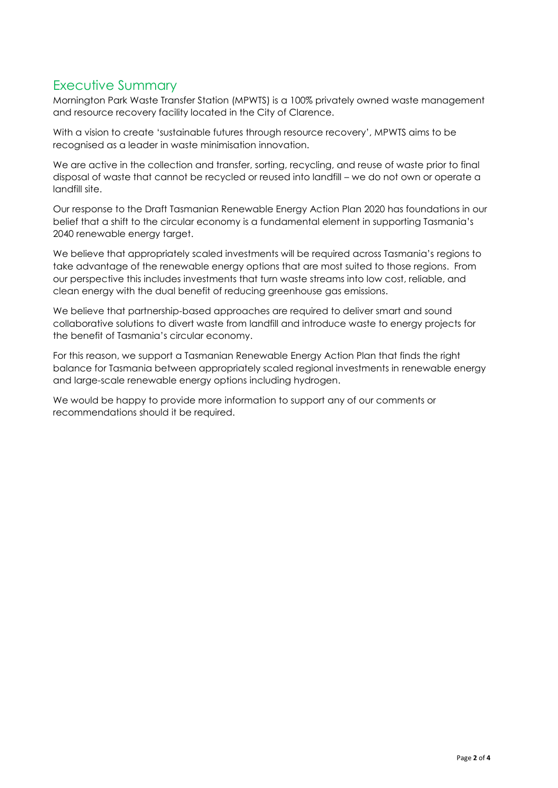# Executive Summary

Mornington Park Waste Transfer Station (MPWTS) is a 100% privately owned waste management and resource recovery facility located in the City of Clarence.

With a vision to create 'sustainable futures through resource recovery', MPWTS aims to be recognised as a leader in waste minimisation innovation.

We are active in the collection and transfer, sorting, recycling, and reuse of waste prior to final disposal of waste that cannot be recycled or reused into landfill – we do not own or operate a landfill site.

Our response to the Draft Tasmanian Renewable Energy Action Plan 2020 has foundations in our belief that a shift to the circular economy is a fundamental element in supporting Tasmania's 2040 renewable energy target.

We believe that appropriately scaled investments will be required across Tasmania's regions to take advantage of the renewable energy options that are most suited to those regions. From our perspective this includes investments that turn waste streams into low cost, reliable, and clean energy with the dual benefit of reducing greenhouse gas emissions.

We believe that partnership-based approaches are required to deliver smart and sound collaborative solutions to divert waste from landfill and introduce waste to energy projects for the benefit of Tasmania's circular economy.

For this reason, we support a Tasmanian Renewable Energy Action Plan that finds the right balance for Tasmania between appropriately scaled regional investments in renewable energy and large-scale renewable energy options including hydrogen.

We would be happy to provide more information to support any of our comments or recommendations should it be required.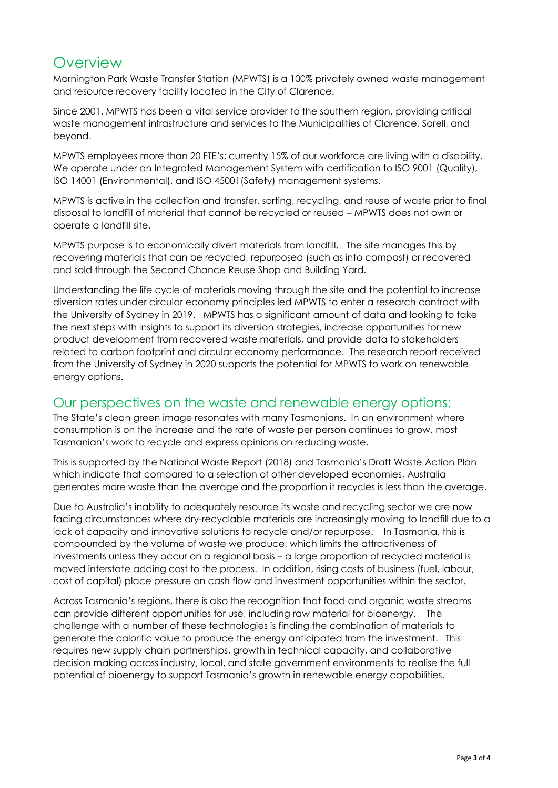# **Overview**

Mornington Park Waste Transfer Station (MPWTS) is a 100% privately owned waste management and resource recovery facility located in the City of Clarence.

Since 2001, MPWTS has been a vital service provider to the southern region, providing critical waste management infrastructure and services to the Municipalities of Clarence, Sorell, and beyond.

MPWTS employees more than 20 FTE's; currently 15% of our workforce are living with a disability. We operate under an Integrated Management System with certification to ISO 9001 (Quality), ISO 14001 (Environmental), and ISO 45001(Safety) management systems.

MPWTS is active in the collection and transfer, sorting, recycling, and reuse of waste prior to final disposal to landfill of material that cannot be recycled or reused – MPWTS does not own or operate a landfill site.

MPWTS purpose is to economically divert materials from landfill. The site manages this by recovering materials that can be recycled, repurposed (such as into compost) or recovered and sold through the Second Chance Reuse Shop and Building Yard.

Understanding the life cycle of materials moving through the site and the potential to increase diversion rates under circular economy principles led MPWTS to enter a research contract with the University of Sydney in 2019. MPWTS has a significant amount of data and looking to take the next steps with insights to support its diversion strategies, increase opportunities for new product development from recovered waste materials, and provide data to stakeholders related to carbon footprint and circular economy performance. The research report received from the University of Sydney in 2020 supports the potential for MPWTS to work on renewable energy options.

#### Our perspectives on the waste and renewable energy options:

The State's clean green image resonates with many Tasmanians. In an environment where consumption is on the increase and the rate of waste per person continues to grow, most Tasmanian's work to recycle and express opinions on reducing waste.

This is supported by the National Waste Report (2018) and Tasmania's Draft Waste Action Plan which indicate that compared to a selection of other developed economies, Australia generates more waste than the average and the proportion it recycles is less than the average.

Due to Australia's inability to adequately resource its waste and recycling sector we are now facing circumstances where dry-recyclable materials are increasingly moving to landfill due to a lack of capacity and innovative solutions to recycle and/or repurpose. In Tasmania, this is compounded by the volume of waste we produce, which limits the attractiveness of investments unless they occur on a regional basis – a large proportion of recycled material is moved interstate adding cost to the process. In addition, rising costs of business (fuel, labour, cost of capital) place pressure on cash flow and investment opportunities within the sector.

Across Tasmania's regions, there is also the recognition that food and organic waste streams can provide different opportunities for use, including raw material for bioenergy. The challenge with a number of these technologies is finding the combination of materials to generate the calorific value to produce the energy anticipated from the investment. This requires new supply chain partnerships, growth in technical capacity, and collaborative decision making across industry, local, and state government environments to realise the full potential of bioenergy to support Tasmania's growth in renewable energy capabilities.